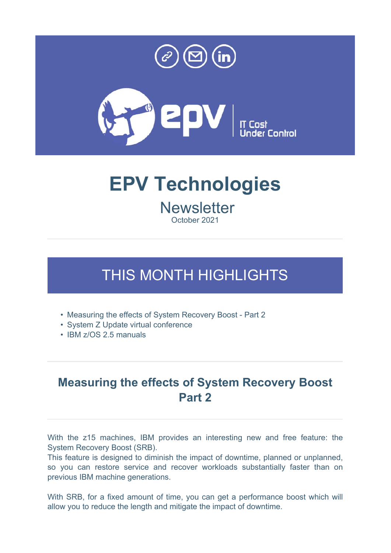



# **EPV Technologies**

**Newsletter** October 2021

### THIS MONTH HIGHLIGHTS

- Measuring the effects of System Recovery Boost Part 2
- System Z Update virtual conference
- IBM z/OS 2.5 manuals

### **Measuring the effects of System Recovery Boost Part 2**

With the z15 machines, IBM provides an interesting new and free feature: the System Recovery Boost (SRB).

This feature is designed to diminish the impact of downtime, planned or unplanned, so you can restore service and recover workloads substantially faster than on previous IBM machine generations.

With SRB, for a fixed amount of time, you can get a performance boost which will allow you to reduce the length and mitigate the impact of downtime.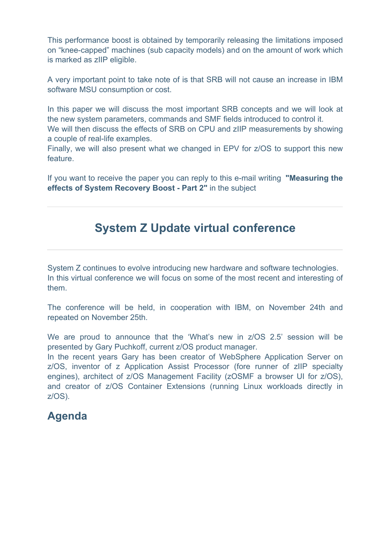This performance boost is obtained by temporarily releasing the limitations imposed on "knee-capped" machines (sub capacity models) and on the amount of work which is marked as zIIP eligible.

A very important point to take note of is that SRB will not cause an increase in IBM software MSU consumption or cost.

In this paper we will discuss the most important SRB concepts and we will look at the new system parameters, commands and SMF fields introduced to control it.

We will then discuss the effects of SRB on CPU and zIIP measurements by showing a couple of real-life examples.

Finally, we will also present what we changed in EPV for z/OS to support this new feature.

If you want to receive the paper you can reply to this e-mail writing **"Measuring the effects of System Recovery Boost - Part 2"** in the subject

#### **System Z Update virtual conference**

System Z continues to evolve introducing new hardware and software technologies. In this virtual conference we will focus on some of the most recent and interesting of them.

The conference will be held, in cooperation with IBM, on November 24th and repeated on November 25th.

We are proud to announce that the 'What's new in z/OS 2.5' session will be presented by Gary Puchkoff, current z/OS product manager.

In the recent years Gary has been creator of WebSphere Application Server on z/OS, inventor of z Application Assist Processor (fore runner of zIIP specialty engines), architect of z/OS Management Facility (zOSMF a browser UI for z/OS), and creator of z/OS Container Extensions (running Linux workloads directly in z/OS).

#### **Agenda**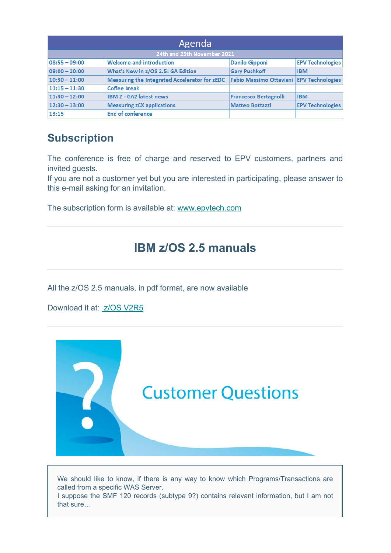| Agenda                      |                                               |                                            |                         |
|-----------------------------|-----------------------------------------------|--------------------------------------------|-------------------------|
| 24th and 25th November 2021 |                                               |                                            |                         |
| $08:55 - 09:00$             | <b>Welcome and introduction</b>               | <b>Danilo Gipponi</b>                      | <b>EPV Technologies</b> |
| $09:00 - 10:00$             | What's New in z/OS 2.5: GA Edition            | <b>Gary Puchkoff</b>                       | <b>IBM</b>              |
| $10:30 - 11:00$             | Measuring the Integrated Accelerator for zEDC | Fabio Massimo Ottaviani   EPV Technologies |                         |
| $11:15 - 11:30$             | <b>Coffee break</b>                           |                                            |                         |
| $11:30 - 12:00$             | <b>IBM Z - GA2 latest news</b>                | <b>Francesco Bertagnolli</b>               | <b>IBM</b>              |
| $12:30 - 13:00$             | <b>Measuring zCX applications</b>             | <b>Matteo Bottazzi</b>                     | <b>EPV Technologies</b> |
| 13:15                       | <b>End of conference</b>                      |                                            |                         |

#### **Subscription**

The conference is free of charge and reserved to EPV customers, partners and invited guests.

If you are not a customer yet but you are interested in participating, please answer to this e-mail asking for an invitation.

The subscription form is available at: www.epvtech.com

#### **IBM z/OS 2.5 manuals**

All the z/OS 2.5 manuals, in pdf format, are now available

Download it at: z/OS V2R5



We should like to know, if there is any way to know which Programs/Transactions are called from a specific WAS Server. I suppose the SMF 120 records (subtype 9?) contains relevant information, but I am not that sure…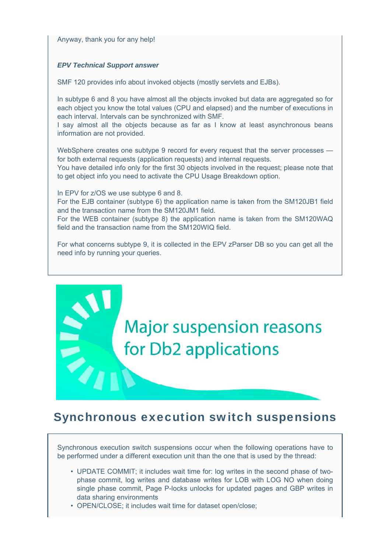Anyway, thank you for any help!

#### *EPV Technical Support answer*

SMF 120 provides info about invoked objects (mostly servlets and EJBs).

In subtype 6 and 8 you have almost all the objects invoked but data are aggregated so for each object you know the total values (CPU and elapsed) and the number of executions in each interval. Intervals can be synchronized with SMF.

I say almost all the objects because as far as I know at least asynchronous beans information are not provided.

WebSphere creates one subtype 9 record for every request that the server processes for both external requests (application requests) and internal requests.

You have detailed info only for the first 30 objects involved in the request; please note that to get object info you need to activate the CPU Usage Breakdown option.

In EPV for z/OS we use subtype 6 and 8.

For the EJB container (subtype 6) the application name is taken from the SM120JB1 field and the transaction name from the SM120JM1 field.

For the WEB container (subtype 8) the application name is taken from the SM120WAQ field and the transaction name from the SM120WIQ field.

For what concerns subtype 9, it is collected in the EPV zParser DB so you can get all the need info by running your queries.

## **Major suspension reasons** for Db2 applications

#### Synchronous execution switch suspensions

Synchronous execution switch suspensions occur when the following operations have to be performed under a different execution unit than the one that is used by the thread:

- UPDATE COMMIT; it includes wait time for: log writes in the second phase of twophase commit, log writes and database writes for LOB with LOG NO when doing single phase commit, Page P-locks unlocks for updated pages and GBP writes in data sharing environments
- OPEN/CLOSE; it includes wait time for dataset open/close;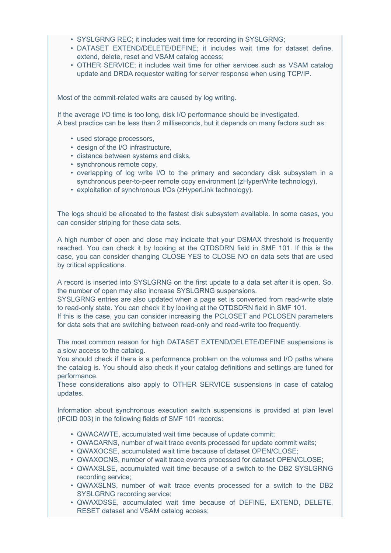- SYSLGRNG REC; it includes wait time for recording in SYSLGRNG;
- DATASET EXTEND/DELETE/DEFINE; it includes wait time for dataset define, extend, delete, reset and VSAM catalog access;
- OTHER SERVICE; it includes wait time for other services such as VSAM catalog update and DRDA requestor waiting for server response when using TCP/IP.

Most of the commit-related waits are caused by log writing.

If the average I/O time is too long, disk I/O performance should be investigated. A best practice can be less than 2 milliseconds, but it depends on many factors such as:

- used storage processors,
- design of the I/O infrastructure,
- distance between systems and disks,
- synchronous remote copy,
- overlapping of log write I/O to the primary and secondary disk subsystem in a synchronous peer-to-peer remote copy environment (zHyperWrite technology),
- exploitation of synchronous I/Os (zHyperLink technology).

The logs should be allocated to the fastest disk subsystem available. In some cases, you can consider striping for these data sets.

A high number of open and close may indicate that your DSMAX threshold is frequently reached. You can check it by looking at the QTDSDRN field in SMF 101. If this is the case, you can consider changing CLOSE YES to CLOSE NO on data sets that are used by critical applications.

A record is inserted into SYSLGRNG on the first update to a data set after it is open. So, the number of open may also increase SYSLGRNG suspensions.

SYSLGRNG entries are also updated when a page set is converted from read-write state to read-only state. You can check it by looking at the QTDSDRN field in SMF 101.

If this is the case, you can consider increasing the PCLOSET and PCLOSEN parameters for data sets that are switching between read-only and read-write too frequently.

The most common reason for high DATASET EXTEND/DELETE/DEFINE suspensions is a slow access to the catalog.

You should check if there is a performance problem on the volumes and I/O paths where the catalog is. You should also check if your catalog definitions and settings are tuned for performance.

These considerations also apply to OTHER SERVICE suspensions in case of catalog updates.

Information about synchronous execution switch suspensions is provided at plan level (IFCID 003) in the following fields of SMF 101 records:

- QWACAWTE, accumulated wait time because of update commit;
- QWACARNS, number of wait trace events processed for update commit waits;
- QWAXOCSE, accumulated wait time because of dataset OPEN/CLOSE;
- QWAXOCNS, number of wait trace events processed for dataset OPEN/CLOSE;
- QWAXSLSE, accumulated wait time because of a switch to the DB2 SYSLGRNG recording service;
- QWAXSLNS, number of wait trace events processed for a switch to the DB2 SYSLGRNG recording service;
- QWAXDSSE, accumulated wait time because of DEFINE, EXTEND, DELETE, RESET dataset and VSAM catalog access;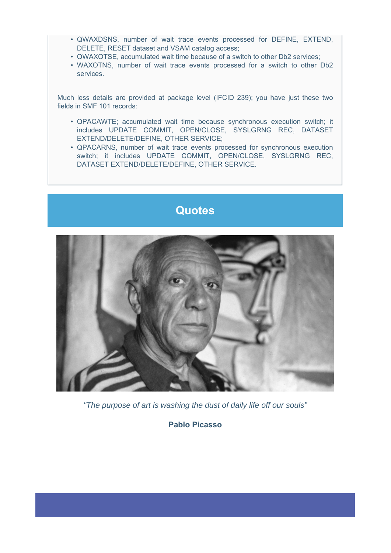- QWAXDSNS, number of wait trace events processed for DEFINE, EXTEND, DELETE, RESET dataset and VSAM catalog access;
- QWAXOTSE, accumulated wait time because of a switch to other Db2 services;
- WAXOTNS, number of wait trace events processed for a switch to other Db2 services.

Much less details are provided at package level (IFCID 239); you have just these two fields in SMF 101 records:

- QPACAWTE; accumulated wait time because synchronous execution switch; it includes UPDATE COMMIT, OPEN/CLOSE, SYSLGRNG REC, DATASET EXTEND/DELETE/DEFINE, OTHER SERVICE;
- QPACARNS, number of wait trace events processed for synchronous execution switch; it includes UPDATE COMMIT, OPEN/CLOSE, SYSLGRNG REC, DATASET EXTEND/DELETE/DEFINE, OTHER SERVICE.

#### **Quotes**



*"The purpose of art is washing the dust of daily life off our souls"*

**Pablo Picasso**